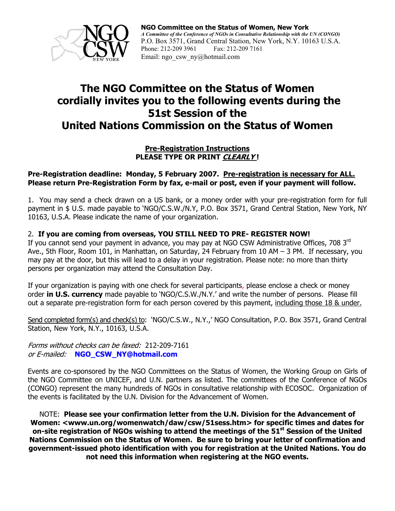

## **The NGO Committee on the Status of Women cordially invites you to the following events during the 51st Session of the United Nations Commission on the Status of Women**

#### **Pre-Registration Instructions PLEASE TYPE OR PRINT CLEARLY !**

#### **Pre-Registration deadline: Monday, 5 February 2007. Pre-registration is necessary for ALL. Please return Pre-Registration Form by fax, e-mail or post, even if your payment will follow.**

1. You may send a check drawn on a US bank, or a money order with your pre-registration form for full payment in \$ U.S. made payable to 'NGO/C.S.W./N.Y, P.O. Box 3571, Grand Central Station, New York, NY 10163, U.S.A. Please indicate the name of your organization.

### 2. **If you are coming from overseas, YOU STILL NEED TO PRE- REGISTER NOW!**

If you cannot send your payment in advance, you may pay at NGO CSW Administrative Offices, 708 3rd Ave., 5th Floor, Room 101, in Manhattan, on Saturday, 24 February from 10 AM – 3 PM. If necessary, you may pay at the door, but this will lead to a delay in your registration. Please note: no more than thirty persons per organization may attend the Consultation Day.

If your organization is paying with one check for several participants, please enclose a check or money order **in U.S. currency** made payable to 'NGO/C.S.W./N.Y.' and write the number of persons. Please fill out a separate pre-registration form for each person covered by this payment, including those 18 & under.

Send completed form(s) and check(s) to: 'NGO/C.S.W., N.Y.,' NGO Consultation, P.O. Box 3571, Grand Central Station, New York, N.Y., 10163, U.S.A.

Forms without checks can be faxed: 212-209-7161 or E-mailed: **NGO\_CSW\_NY@hotmail.com**

Events are co-sponsored by the NGO Committees on the Status of Women, the Working Group on Girls of the NGO Committee on UNICEF, and U.N. partners as listed. The committees of the Conference of NGOs (CONGO) represent the many hundreds of NGOs in consultative relationship with ECOSOC. Organization of the events is facilitated by the U.N. Division for the Advancement of Women.

NOTE: **Please see your confirmation letter from the U.N. Division for the Advancement of Women: <www.un.org/womenwatch/daw/csw/51sess.htm> for specific times and dates for on-site registration of NGOs wishing to attend the meetings of the 51st Session of the United Nations Commission on the Status of Women. Be sure to bring your letter of confirmation and government-issued photo identification with you for registration at the United Nations. You do not need this information when registering at the NGO events.**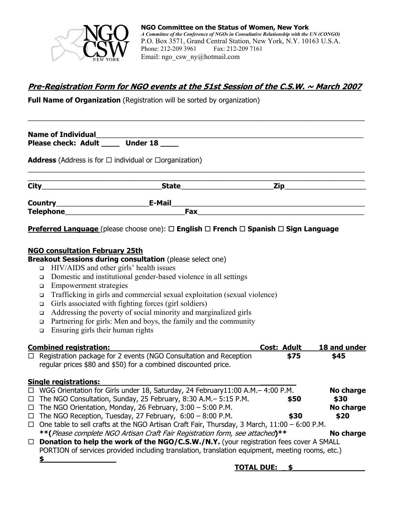

### **Pre-Registration Form for NGO events at the 51st Session of the C.S.W. ~ March 2007**

 $\_$  , and the set of the set of the set of the set of the set of the set of the set of the set of the set of the set of the set of the set of the set of the set of the set of the set of the set of the set of the set of th

**Full Name of Organization** (Registration will be sorted by organization)

| Name of Individual <u>Name of Individual</u><br>Please check: Adult ______ Under 18 |                         |                                                                                                                      |  |  |  |  |
|-------------------------------------------------------------------------------------|-------------------------|----------------------------------------------------------------------------------------------------------------------|--|--|--|--|
| <b>Address</b> (Address is for $\Box$ individual or $\Box$ organization)            |                         |                                                                                                                      |  |  |  |  |
|                                                                                     | State__________________ | <b>Zip</b> and the second second second second second second second second second second second second second second |  |  |  |  |
|                                                                                     | E-Mail                  |                                                                                                                      |  |  |  |  |
| <b>Telephone</b>                                                                    | Fax                     |                                                                                                                      |  |  |  |  |

**Preferred Language** (please choose one): □ English □ French □ Spanish □ Sign Language

### **NGO consultation February 25th**

**Breakout Sessions during consultation** (please select one)

- $\Box$  HIV/AIDS and other girls' health issues
- Domestic and institutional gender-based violence in all settings
- **Empowerment strategies**
- Trafficking in girls and commercial sexual exploitation (sexual violence)
- $\Box$  Girls associated with fighting forces (girl soldiers)
- Addressing the poverty of social minority and marginalized girls
- Partnering for girls: Men and boys, the family and the community
- **Ensuring girls their human rights**

|        | <b>Combined registration:</b>                                                                                                       | <b>Cost: Adult</b> | 18 and under |
|--------|-------------------------------------------------------------------------------------------------------------------------------------|--------------------|--------------|
| $\Box$ | Registration package for 2 events (NGO Consultation and Reception<br>regular prices \$80 and \$50) for a combined discounted price. | \$75               | \$45         |
|        | <b>Single registrations:</b>                                                                                                        |                    |              |
| $\Box$ | WGG Orientation for Girls under 18, Saturday, 24 February11:00 A.M.- 4:00 P.M.                                                      |                    | No charge    |
|        | $\Box$ The NGO Consultation, Sunday, 25 February, 8:30 A.M. - 5:15 P.M.                                                             | \$50               | \$30         |
|        | $\Box$ The NGO Orientation, Monday, 26 February, 3:00 - 5:00 P.M.                                                                   |                    | No charge    |
| $\Box$ | The NGO Reception, Tuesday, 27 February, $6:00 - 8:00$ P.M.                                                                         | \$30               | \$20         |
| $\Box$ | One table to sell crafts at the NGO Artisan Craft Fair, Thursday, 3 March, 11:00 - 6:00 P.M.                                        |                    |              |
|        | **(Please complete NGO Artisan Craft Fair Registration form, see attached)**                                                        |                    | No charge    |
| $\Box$ | <b>Donation to help the work of the NGO/C.S.W./N.Y.</b> (your registration fees cover A SMALL                                       |                    |              |
|        | PORTION of services provided including translation, translation equipment, meeting rooms, etc.)                                     |                    |              |

**\$\_\_\_\_\_\_\_\_\_\_\_\_\_\_\_\_**

### **TOTAL DUE: \_ \$\_\_\_\_\_\_\_\_\_\_\_\_\_\_\_\_**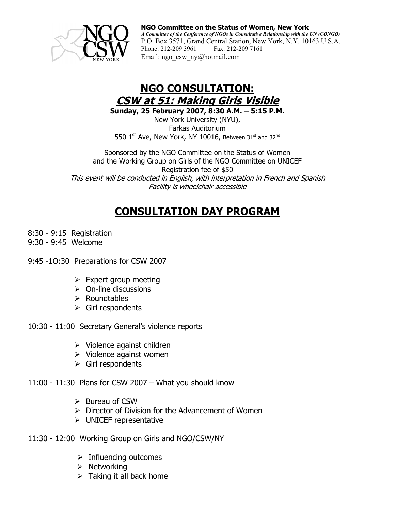

# **NGO CONSULTATION: CSW at 51: Making Girls Visible**

**Sunday, 25 February 2007, 8:30 A.M. – 5:15 P.M.** 

New York University (NYU), Farkas Auditorium 550  $1^{\text{st}}$  Ave, New York, NY 10016, Between 31st and 32<sup>nd</sup>

Sponsored by the NGO Committee on the Status of Women and the Working Group on Girls of the NGO Committee on UNICEF Registration fee of \$50 This event will be conducted in English, with interpretation in French and Spanish Facility is wheelchair accessible

# **CONSULTATION DAY PROGRAM**

- 8:30 9:15 Registration
- 9:30 9:45 Welcome
- 9:45 -1O:30 Preparations for CSW 2007
	- $\triangleright$  Expert group meeting
	- $\triangleright$  On-line discussions
	- $\triangleright$  Roundtables
	- $\triangleright$  Girl respondents
- 10:30 11:00 Secretary General's violence reports
	- $\triangleright$  Violence against children
	- $\triangleright$  Violence against women
	- $\triangleright$  Girl respondents

11:00 - 11:30 Plans for CSW 2007 – What you should know

- $\triangleright$  Bureau of CSW
- $\triangleright$  Director of Division for the Advancement of Women
- $\triangleright$  UNICEF representative
- 11:30 12:00 Working Group on Girls and NGO/CSW/NY
	- $\triangleright$  Influencing outcomes
	- $\triangleright$  Networking
	- $\triangleright$  Taking it all back home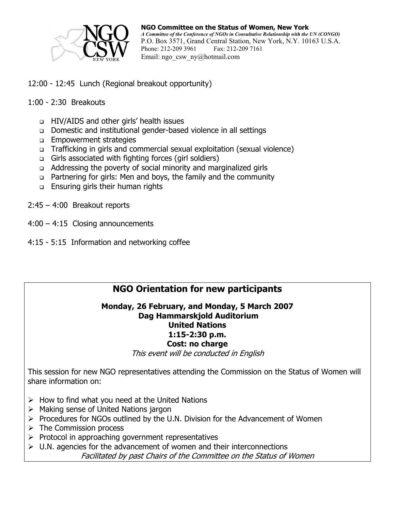

- 12:00 12:45 Lunch (Regional breakout opportunity)
- 1:00 2:30 Breakouts
	- HIV/AIDS and other girls' health issues
	- Domestic and institutional gender-based violence in all settings
	- **Empowerment strategies**
	- Trafficking in girls and commercial sexual exploitation (sexual violence)
	- Girls associated with fighting forces (girl soldiers)
	- Addressing the poverty of social minority and marginalized girls
	- Partnering for girls: Men and boys, the family and the community
	- Ensuring girls their human rights
- 2:45 4:00 Breakout reports
- 4:00 4:15 Closing announcements
- 4:15 5:15 Information and networking coffee

### **NGO Orientation for new participants**

### **Monday, 26 February, and Monday, 5 March 2007 Dag Hammarskjold Auditorium United Nations 1:15-2:30 p.m. Cost: no charge**

This event will be conducted in English

This session for new NGO representatives attending the Commission on the Status of Women will share information on:

- $\triangleright$  How to find what you need at the United Nations
- $\triangleright$  Making sense of United Nations jargon
- ¾ Procedures for NGOs outlined by the U.N. Division for the Advancement of Women
- $\triangleright$  The Commission process
- $\triangleright$  Protocol in approaching government representatives
- $\triangleright$  U.N. agencies for the advancement of women and their interconnections Facilitated by past Chairs of the Committee on the Status of Women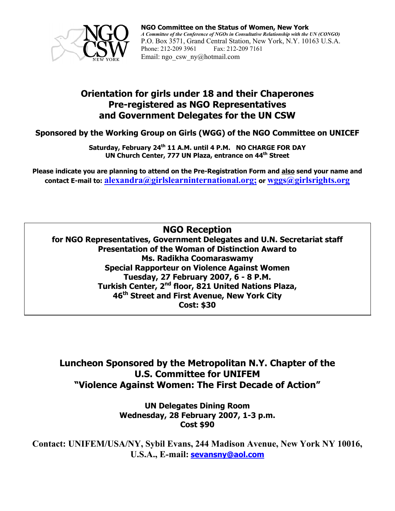

### **Orientation for girls under 18 and their Chaperones Pre-registered as NGO Representatives and Government Delegates for the UN CSW**

**Sponsored by the Working Group on Girls (WGG) of the NGO Committee on UNICEF** 

Saturday, February 24<sup>th</sup> 11 A.M. until 4 P.M. NO CHARGE FOR DAY **UN Church Center, 777 UN Plaza, entrance on 44<sup>th</sup> Street** 

**Please indicate you are planning to attend on the Pre-Registration Form and also send your name and contact E-mail to: alexandra@girlslearninternational.org; or wggs@girlsrights.org**

**NGO Reception** 

**for NGO Representatives, Government Delegates and U.N. Secretariat staff Presentation of the Woman of Distinction Award to Ms. Radikha Coomaraswamy Special Rapporteur on Violence Against Women Tuesday, 27 February 2007, 6 - 8 P.M. Turkish Center, 2nd floor, 821 United Nations Plaza, 46th Street and First Avenue, New York City Cost: \$30** 

**Luncheon Sponsored by the Metropolitan N.Y. Chapter of the U.S. Committee for UNIFEM "Violence Against Women: The First Decade of Action"** 

> **UN Delegates Dining Room Wednesday, 28 February 2007, 1-3 p.m. Cost \$90**

**Contact: UNIFEM/USA/NY, Sybil Evans, 244 Madison Avenue, New York NY 10016, U.S.A., E-mail: sevansny@aol.com**